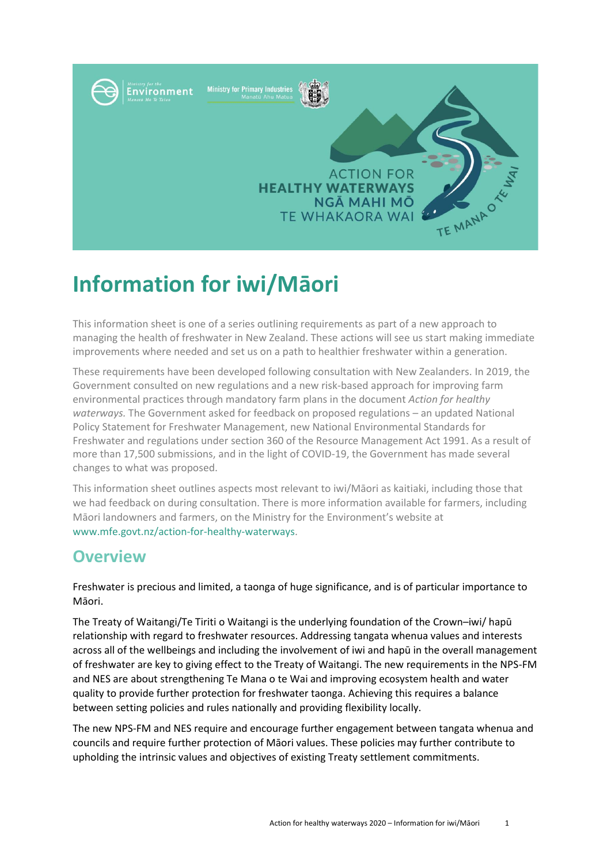

# **Information for iwi/Māori**

This information sheet is one of a series outlining requirements as part of a new approach to managing the health of freshwater in New Zealand. These actions will see us start making immediate improvements where needed and set us on a path to healthier freshwater within a generation.

These requirements have been developed following consultation with New Zealanders. In 2019, the Government consulted on new regulations and a new risk-based approach for improving farm environmental practices through mandatory farm plans in the document *Action for healthy waterways.* The Government asked for feedback on proposed regulations – an updated National Policy Statement for Freshwater Management, new National Environmental Standards for Freshwater and regulations under section 360 of the Resource Management Act 1991. As a result of more than 17,500 submissions, and in the light of COVID-19, the Government has made several changes to what was proposed.

This information sheet outlines aspects most relevant to iwi/Māori as kaitiaki, including those that we had feedback on during consultation. There is more information available for farmers, including Māori landowners and farmers, on the Ministry for the Environment's website at www.mfe.govt.nz/action-for-healthy-waterways.

## **Overview**

Freshwater is precious and limited, a taonga of huge significance, and is of particular importance to Māori.

The Treaty of Waitangi/Te Tiriti o Waitangi is the underlying foundation of the Crown–iwi/ hapū relationship with regard to freshwater resources. Addressing tangata whenua values and interests across all of the wellbeings and including the involvement of iwi and hapū in the overall management of freshwater are key to giving effect to the Treaty of Waitangi. The new requirements in the NPS-FM and NES are about strengthening Te Mana o te Wai and improving ecosystem health and water quality to provide further protection for freshwater taonga. Achieving this requires a balance between setting policies and rules nationally and providing flexibility locally.

The new NPS-FM and NES require and encourage further engagement between tangata whenua and councils and require further protection of Māori values. These policies may further contribute to upholding the intrinsic values and objectives of existing Treaty settlement commitments.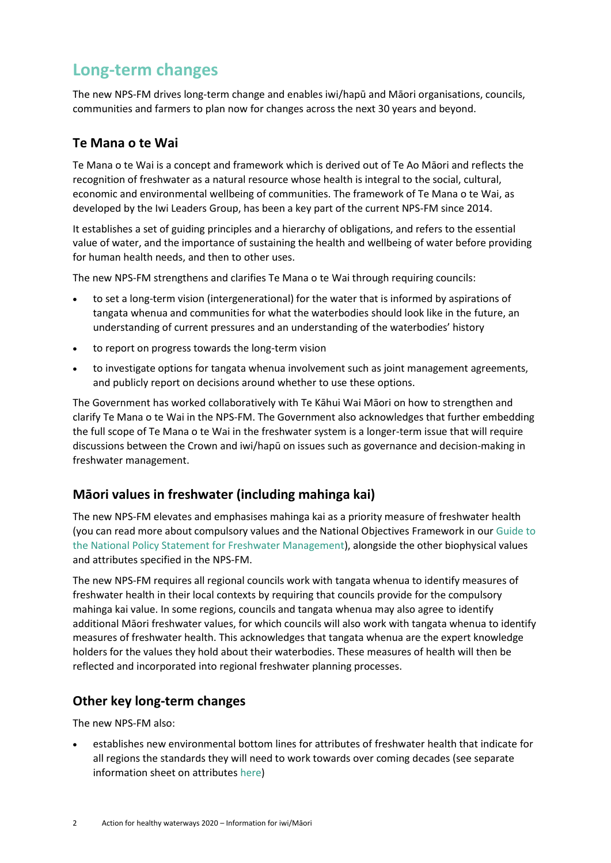# **Long-term changes**

The new NPS-FM drives long-term change and enables iwi/hapū and Māori organisations, councils, communities and farmers to plan now for changes across the next 30 years and beyond.

#### **Te Mana o te Wai**

Te Mana o te Wai is a concept and framework which is derived out of Te Ao Māori and reflects the recognition of freshwater as a natural resource whose health is integral to the social, cultural, economic and environmental wellbeing of communities. The framework of Te Mana o te Wai, as developed by the Iwi Leaders Group, has been a key part of the current NPS-FM since 2014.

It establishes a set of guiding principles and a hierarchy of obligations, and refers to the essential value of water, and the importance of sustaining the health and wellbeing of water before providing for human health needs, and then to other uses.

The new NPS-FM strengthens and clarifies Te Mana o te Wai through requiring councils:

- to set a long-term vision (intergenerational) for the water that is informed by aspirations of tangata whenua and communities for what the waterbodies should look like in the future, an understanding of current pressures and an understanding of the waterbodies' history
- to report on progress towards the long-term vision
- to investigate options for tangata whenua involvement such as joint management agreements, and publicly report on decisions around whether to use these options.

The Government has worked collaboratively with Te Kāhui Wai Māori on how to strengthen and clarify Te Mana o te Wai in the NPS-FM. The Government also acknowledges that further embedding the full scope of Te Mana o te Wai in the freshwater system is a longer-term issue that will require discussions between the Crown and iwi/hapū on issues such as governance and decision-making in freshwater management.

#### **Māori values in freshwater (including mahinga kai)**

The new NPS-FM elevates and emphasises mahinga kai as a priority measure of freshwater health (you can read more about compulsory values and the National Objectives Framework in ou[r Guide to](https://www.mfe.govt.nz/sites/default/files/media/Fresh%20water/nps-fm-guide-2017-final.pdf)  [the National Policy Statement for Freshwater Management\)](https://www.mfe.govt.nz/sites/default/files/media/Fresh%20water/nps-fm-guide-2017-final.pdf), alongside the other biophysical values and attributes specified in the NPS-FM.

The new NPS-FM requires all regional councils work with tangata whenua to identify measures of freshwater health in their local contexts by requiring that councils provide for the compulsory mahinga kai value. In some regions, councils and tangata whenua may also agree to identify additional Māori freshwater values, for which councils will also work with tangata whenua to identify measures of freshwater health. This acknowledges that tangata whenua are the expert knowledge holders for the values they hold about their waterbodies. These measures of health will then be reflected and incorporated into regional freshwater planning processes.

#### **Other key long-term changes**

The new NPS-FM also:

 establishes new environmental bottom lines for attributes of freshwater health that indicate for all regions the standards they will need to work towards over coming decades (see separate information sheet on attributes [here\)](https://www.mfe.govt.nz/publications/fresh-water/guide-attributes-appendix-2-national-policy-statement-freshwater)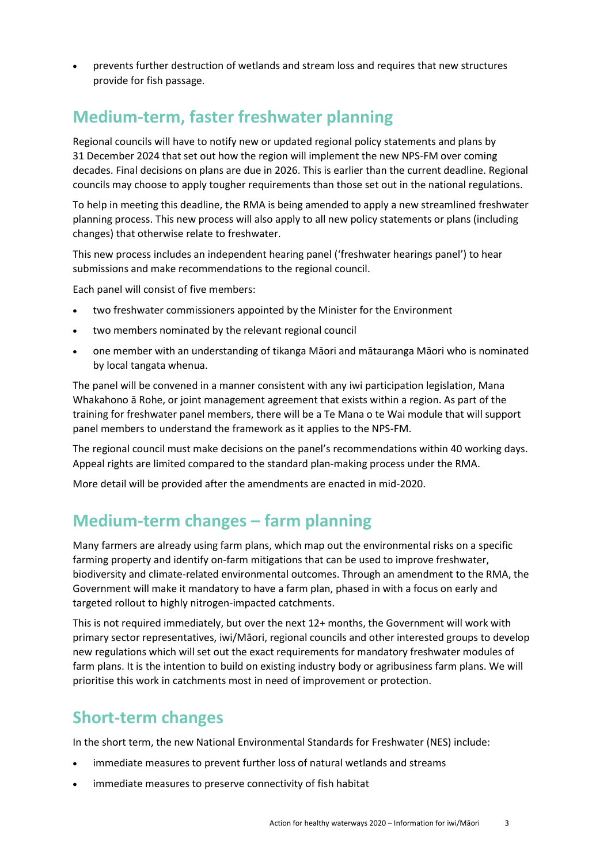prevents further destruction of wetlands and stream loss and requires that new structures provide for fish passage.

# **Medium-term, faster freshwater planning**

Regional councils will have to notify new or updated regional policy statements and plans by 31 December 2024 that set out how the region will implement the new NPS-FM over coming decades. Final decisions on plans are due in 2026. This is earlier than the current deadline. Regional councils may choose to apply tougher requirements than those set out in the national regulations.

To help in meeting this deadline, the RMA is being amended to apply a new streamlined freshwater planning process. This new process will also apply to all new policy statements or plans (including changes) that otherwise relate to freshwater.

This new process includes an independent hearing panel ('freshwater hearings panel') to hear submissions and make recommendations to the regional council.

Each panel will consist of five members:

- two freshwater commissioners appointed by the Minister for the Environment
- two members nominated by the relevant regional council
- one member with an understanding of tikanga Māori and mātauranga Māori who is nominated by local tangata whenua.

The panel will be convened in a manner consistent with any iwi participation legislation, Mana Whakahono ā Rohe, or joint management agreement that exists within a region. As part of the training for freshwater panel members, there will be a Te Mana o te Wai module that will support panel members to understand the framework as it applies to the NPS-FM.

The regional council must make decisions on the panel's recommendations within 40 working days. Appeal rights are limited compared to the standard plan-making process under the RMA.

More detail will be provided after the amendments are enacted in mid-2020.

## **Medium-term changes – farm planning**

Many farmers are already using farm plans, which map out the environmental risks on a specific farming property and identify on-farm mitigations that can be used to improve freshwater, biodiversity and climate-related environmental outcomes. Through an amendment to the RMA, the Government will make it mandatory to have a farm plan, phased in with a focus on early and targeted rollout to highly nitrogen-impacted catchments.

This is not required immediately, but over the next 12+ months, the Government will work with primary sector representatives, iwi/Māori, regional councils and other interested groups to develop new regulations which will set out the exact requirements for mandatory freshwater modules of farm plans. It is the intention to build on existing industry body or agribusiness farm plans. We will prioritise this work in catchments most in need of improvement or protection.

#### **Short-term changes**

In the short term, the new National Environmental Standards for Freshwater (NES) include:

- immediate measures to prevent further loss of natural wetlands and streams
- immediate measures to preserve connectivity of fish habitat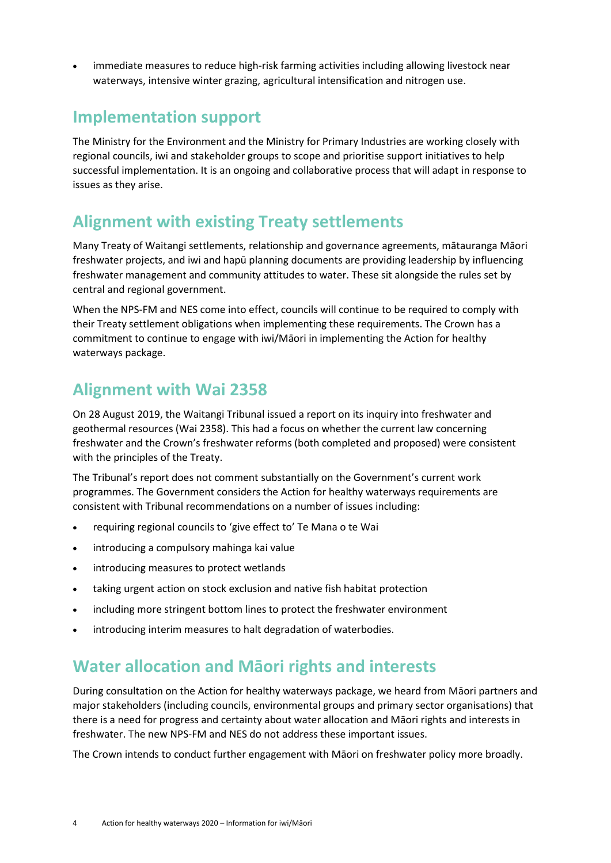immediate measures to reduce high-risk farming activities including allowing livestock near waterways, intensive winter grazing, agricultural intensification and nitrogen use.

#### **Implementation support**

The Ministry for the Environment and the Ministry for Primary Industries are working closely with regional councils, iwi and stakeholder groups to scope and prioritise support initiatives to help successful implementation. It is an ongoing and collaborative process that will adapt in response to issues as they arise.

#### **Alignment with existing Treaty settlements**

Many Treaty of Waitangi settlements, relationship and governance agreements, mātauranga Māori freshwater projects, and iwi and hapū planning documents are providing leadership by influencing freshwater management and community attitudes to water. These sit alongside the rules set by central and regional government.

When the NPS-FM and NES come into effect, councils will continue to be required to comply with their Treaty settlement obligations when implementing these requirements. The Crown has a commitment to continue to engage with iwi/Māori in implementing the Action for healthy waterways package.

## **Alignment with Wai 2358**

On 28 August 2019, the Waitangi Tribunal issued a report on its inquiry into freshwater and geothermal resources (Wai 2358). This had a focus on whether the current law concerning freshwater and the Crown's freshwater reforms (both completed and proposed) were consistent with the principles of the Treaty.

The Tribunal's report does not comment substantially on the Government's current work programmes. The Government considers the Action for healthy waterways requirements are consistent with Tribunal recommendations on a number of issues including:

- requiring regional councils to 'give effect to' Te Mana o te Wai
- introducing a compulsory mahinga kai value
- introducing measures to protect wetlands
- taking urgent action on stock exclusion and native fish habitat protection
- including more stringent bottom lines to protect the freshwater environment
- introducing interim measures to halt degradation of waterbodies.

## **Water allocation and Māori rights and interests**

During consultation on the Action for healthy waterways package, we heard from Māori partners and major stakeholders (including councils, environmental groups and primary sector organisations) that there is a need for progress and certainty about water allocation and Māori rights and interests in freshwater. The new NPS-FM and NES do not address these important issues.

The Crown intends to conduct further engagement with Māori on freshwater policy more broadly.